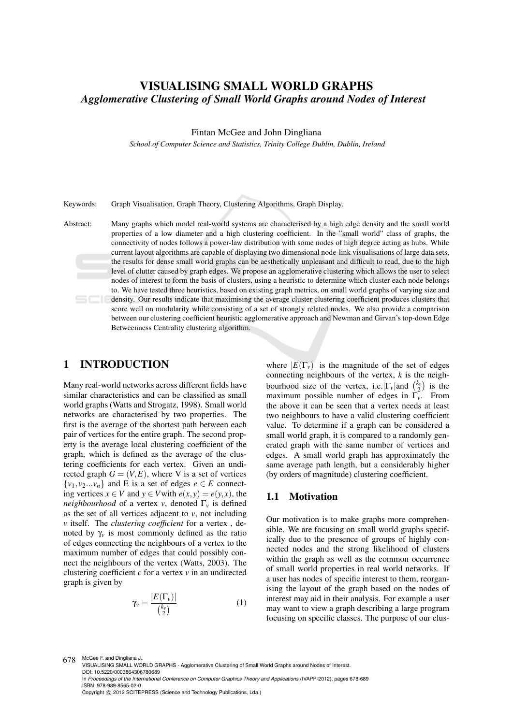# VISUALISING SMALL WORLD GRAPHS *Agglomerative Clustering of Small World Graphs around Nodes of Interest*

Fintan McGee and John Dingliana

*School of Computer Science and Statistics, Trinity College Dublin, Dublin, Ireland*

Keywords: Graph Visualisation, Graph Theory, Clustering Algorithms, Graph Display.

Abstract: Many graphs which model real-world systems are characterised by a high edge density and the small world properties of a low diameter and a high clustering coefficient. In the "small world" class of graphs, the connectivity of nodes follows a power-law distribution with some nodes of high degree acting as hubs. While current layout algorithms are capable of displaying two dimensional node-link visualisations of large data sets, the results for dense small world graphs can be aesthetically unpleasant and difficult to read, due to the high level of clutter caused by graph edges. We propose an agglomerative clustering which allows the user to select nodes of interest to form the basis of clusters, using a heuristic to determine which cluster each node belongs to. We have tested three heuristics, based on existing graph metrics, on small world graphs of varying size and density. Our results indicate that maximising the average cluster clustering coefficient produces clusters that score well on modularity while consisting of a set of strongly related nodes. We also provide a comparison between our clustering coefficient heuristic agglomerative approach and Newman and Girvan's top-down Edge Betweenness Centrality clustering algorithm.

## 1 INTRODUCTION

Many real-world networks across different fields have similar characteristics and can be classified as small world graphs (Watts and Strogatz, 1998). Small world networks are characterised by two properties. The first is the average of the shortest path between each pair of vertices for the entire graph. The second property is the average local clustering coefficient of the graph, which is defined as the average of the clustering coefficients for each vertex. Given an undirected graph  $G = (V, E)$ , where V is a set of vertices  $\{v_1, v_2...v_n\}$  and E is a set of edges  $e \in E$  connecting vertices  $x \in V$  and  $y \in V$  with  $e(x, y) = e(y, x)$ , the *neighbourhood* of a vertex *v*, denoted  $\Gamma$ <sup>*v*</sup> is defined as the set of all vertices adjacent to  $v$ , not including *v* itself. The *clustering coefficient* for a vertex , denoted by  $\gamma$ <sup>*v*</sup> is most commonly defined as the ratio of edges connecting the neighbours of a vertex to the maximum number of edges that could possibly connect the neighbours of the vertex (Watts, 2003). The clustering coefficient *c* for a vertex *v* in an undirected graph is given by

$$
\gamma_{\nu} = \frac{|E(\Gamma_{\nu})|}{\binom{k_{\nu}}{2}} \tag{1}
$$

where  $|E(\Gamma_v)|$  is the magnitude of the set of edges connecting neighbours of the vertex, *k* is the neighbourhood size of the vertex, i.e.  $|\Gamma_v|$  and  $\binom{k_v}{2}$  is the maximum possible number of edges in Γ*v*. From the above it can be seen that a vertex needs at least two neighbours to have a valid clustering coefficient value. To determine if a graph can be considered a small world graph, it is compared to a randomly generated graph with the same number of vertices and edges. A small world graph has approximately the same average path length, but a considerably higher (by orders of magnitude) clustering coefficient.

## 1.1 Motivation

Our motivation is to make graphs more comprehensible. We are focusing on small world graphs specifically due to the presence of groups of highly connected nodes and the strong likelihood of clusters within the graph as well as the common occurrence of small world properties in real world networks. If a user has nodes of specific interest to them, reorganising the layout of the graph based on the nodes of interest may aid in their analysis. For example a user may want to view a graph describing a large program focusing on specific classes. The purpose of our clus-

Copyright © 2012 SCITEPRESS (Science and Technology Publications, Lda.)

<sup>678</sup> McGee F. and Dingliana J.. VISUALISING SMALL WORLD GRAPHS - Agglomerative Clustering of Small World Graphs around Nodes of Interest. DOI: 10.5220/0003864306780689

In *Proceedings of the International Conference on Computer Graphics Theory and Applications* (IVAPP-2012), pages 678-689 ISBN: 978-989-8565-02-0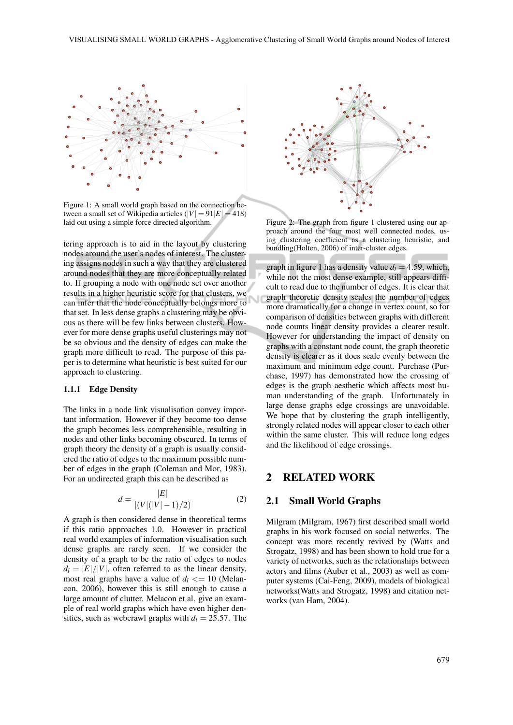

Figure 1: A small world graph based on the connection between a small set of Wikipedia articles  $(|V| = 91|E| = 418$ ) laid out using a simple force directed algorithm.

tering approach is to aid in the layout by clustering nodes around the user's nodes of interest. The clustering assigns nodes in such a way that they are clustered around nodes that they are more conceptually related to. If grouping a node with one node set over another results in a higher heuristic score for that clusters, we can infer that the node conceptually belongs more to that set. In less dense graphs a clustering may be obvious as there will be few links between clusters. However for more dense graphs useful clusterings may not be so obvious and the density of edges can make the graph more difficult to read. The purpose of this paper is to determine what heuristic is best suited for our approach to clustering.

#### 1.1.1 Edge Density

The links in a node link visualisation convey important information. However if they become too dense the graph becomes less comprehensible, resulting in nodes and other links becoming obscured. In terms of graph theory the density of a graph is usually considered the ratio of edges to the maximum possible number of edges in the graph (Coleman and Mor, 1983). For an undirected graph this can be described as

$$
d = \frac{|E|}{|(V|(|V|-1)/2)}
$$
 (2)

A graph is then considered dense in theoretical terms if this ratio approaches 1.0. However in practical real world examples of information visualisation such dense graphs are rarely seen. If we consider the density of a graph to be the ratio of edges to nodes  $d_l = |E|/|V|$ , often referred to as the linear density, most real graphs have a value of  $d_l \leq 10$  (Melancon, 2006), however this is still enough to cause a large amount of clutter. Melacon et al. give an example of real world graphs which have even higher densities, such as webcrawl graphs with  $d_l = 25.57$ . The



Figure 2: The graph from figure 1 clustered using our approach around the four most well connected nodes, using clustering coefficient as a clustering heuristic, and bundling(Holten, 2006) of inter-cluster edges.

graph in figure 1 has a density value  $d_l = 4.59$ , which, while not the most dense example, still appears difficult to read due to the number of edges. It is clear that graph theoretic density scales the number of edges more dramatically for a change in vertex count, so for comparison of densities between graphs with different node counts linear density provides a clearer result. However for understanding the impact of density on graphs with a constant node count, the graph theoretic density is clearer as it does scale evenly between the maximum and minimum edge count. Purchase (Purchase, 1997) has demonstrated how the crossing of edges is the graph aesthetic which affects most human understanding of the graph. Unfortunately in large dense graphs edge crossings are unavoidable. We hope that by clustering the graph intelligently, strongly related nodes will appear closer to each other within the same cluster. This will reduce long edges and the likelihood of edge crossings.

## 2 RELATED WORK

## 2.1 Small World Graphs

Milgram (Milgram, 1967) first described small world graphs in his work focused on social networks. The concept was more recently revived by (Watts and Strogatz, 1998) and has been shown to hold true for a variety of networks, such as the relationships between actors and films (Auber et al., 2003) as well as computer systems (Cai-Feng, 2009), models of biological networks(Watts and Strogatz, 1998) and citation networks (van Ham, 2004).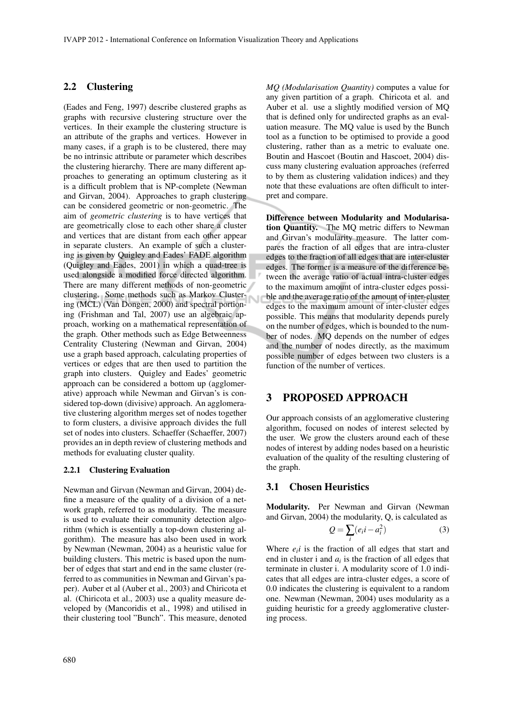Ū

## 2.2 Clustering

(Eades and Feng, 1997) describe clustered graphs as graphs with recursive clustering structure over the vertices. In their example the clustering structure is an attribute of the graphs and vertices. However in many cases, if a graph is to be clustered, there may be no intrinsic attribute or parameter which describes the clustering hierarchy. There are many different approaches to generating an optimum clustering as it is a difficult problem that is NP-complete (Newman and Girvan, 2004). Approaches to graph clustering can be considered geometric or non-geometric. The aim of *geometric clustering* is to have vertices that are geometrically close to each other share a cluster and vertices that are distant from each other appear in separate clusters. An example of such a clustering is given by Quigley and Eades' FADE algorithm (Quigley and Eades, 2001) in which a quad-tree is used alongside a modified force directed algorithm. There are many different methods of non-geometric clustering. Some methods such as Markov Clustering (MCL) (Van Dongen, 2000) and spectral portioning (Frishman and Tal, 2007) use an algebraic approach, working on a mathematical representation of the graph. Other methods such as Edge Betweenness Centrality Clustering (Newman and Girvan, 2004) use a graph based approach, calculating properties of vertices or edges that are then used to partition the graph into clusters. Quigley and Eades' geometric approach can be considered a bottom up (agglomerative) approach while Newman and Girvan's is considered top-down (divisive) approach. An agglomerative clustering algorithm merges set of nodes together to form clusters, a divisive approach divides the full set of nodes into clusters. Schaeffer (Schaeffer, 2007) provides an in depth review of clustering methods and methods for evaluating cluster quality.

#### 2.2.1 Clustering Evaluation

Newman and Girvan (Newman and Girvan, 2004) define a measure of the quality of a division of a network graph, referred to as modularity. The measure is used to evaluate their community detection algorithm (which is essentially a top-down clustering algorithm). The measure has also been used in work by Newman (Newman, 2004) as a heuristic value for building clusters. This metric is based upon the number of edges that start and end in the same cluster (referred to as communities in Newman and Girvan's paper). Auber et al (Auber et al., 2003) and Chiricota et al. (Chiricota et al., 2003) use a quality measure developed by (Mancoridis et al., 1998) and utilised in their clustering tool "Bunch". This measure, denoted *MQ (Modularisation Quantity)* computes a value for any given partition of a graph. Chiricota et al. and Auber et al. use a slightly modified version of MQ that is defined only for undirected graphs as an evaluation measure. The MQ value is used by the Bunch tool as a function to be optimised to provide a good clustering, rather than as a metric to evaluate one. Boutin and Hascoet (Boutin and Hascoet, 2004) discuss many clustering evaluation approaches (referred to by them as clustering validation indices) and they note that these evaluations are often difficult to interpret and compare.

Difference between Modularity and Modularisation Quantity. The MQ metric differs to Newman and Girvan's modularity measure. The latter compares the fraction of all edges that are intra-cluster edges to the fraction of all edges that are inter-cluster edges. The former is a measure of the difference between the average ratio of actual intra-cluster edges to the maximum amount of intra-cluster edges possible and the average ratio of the amount of inter-cluster edges to the maximum amount of inter-cluster edges possible. This means that modularity depends purely on the number of edges, which is bounded to the number of nodes. MQ depends on the number of edges and the number of nodes directly, as the maximum possible number of edges between two clusters is a function of the number of vertices.

## 3 PROPOSED APPROACH

Our approach consists of an agglomerative clustering algorithm, focused on nodes of interest selected by the user. We grow the clusters around each of these nodes of interest by adding nodes based on a heuristic evaluation of the quality of the resulting clustering of the graph.

## 3.1 Chosen Heuristics

Modularity. Per Newman and Girvan (Newman and Girvan, 2004) the modularity, Q, is calculated as

$$
Q = \sum_{i} (e_i i - a_i^2) \tag{3}
$$

Where  $e_i$ *i* is the fraction of all edges that start and end in cluster i and  $a_i$  is the fraction of all edges that terminate in cluster i. A modularity score of 1.0 indicates that all edges are intra-cluster edges, a score of 0.0 indicates the clustering is equivalent to a random one. Newman (Newman, 2004) uses modularity as a guiding heuristic for a greedy agglomerative clustering process.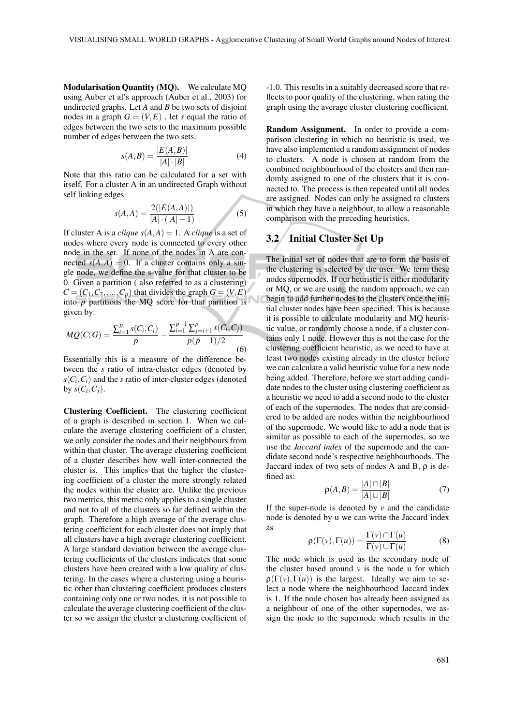Modularisation Quantity (MQ). We calculate MQ using Auber et al's approach (Auber et al., 2003) for undirected graphs. Let *A* and *B* be two sets of disjoint nodes in a graph  $G = (V, E)$ , let *s* equal the ratio of edges between the two sets to the maximum possible number of edges between the two sets.

$$
s(A,B) = \frac{|E(A,B)|}{|A| \cdot |B|}
$$
 (4)

Note that this ratio can be calculated for a set with itself. For a cluster A in an undirected Graph without self linking edges

$$
s(A, A) = \frac{2(|E(A, A)|)}{|A| \cdot (|A| - 1)}
$$
(5)

If cluster A is a *clique*  $s(A, A) = 1$ . A *clique* is a set of nodes where every node is connected to every other node in the set. If none of the nodes in A are connected  $s(A, A) = 0$ . If a cluster contains only a single node, we define the s-value for that cluster to be 0. Given a partition ( also referred to as a clustering)  $C = (C_1, C_2, \ldots, C_p)$  that divides the graph  $G = (V, E)$ into  $p$  partitions the MQ score for that partition is given by:

$$
MQ(C;G) = \frac{\sum_{i=1}^{p} s(C_i, C_i)}{p} - \frac{\sum_{i=1}^{p-1} \sum_{j=i+1}^{p} s(C_i, C_j)}{p(p-1)/2}
$$
(6)

Essentially this is a measure of the difference between the *s* ratio of intra-cluster edges (denoted by  $s(C_i, C_i)$  and the *s* ratio of inter-cluster edges (denoted by  $s(C_i, C_j)$ .

Clustering Coefficient. The clustering coefficient of a graph is described in section 1. When we calculate the average clustering coefficient of a cluster, we only consider the nodes and their neighbours from within that cluster. The average clustering coefficient of a cluster describes how well inter-connected the cluster is. This implies that the higher the clustering coefficient of a cluster the more strongly related the nodes within the cluster are. Unlike the previous two metrics, this metric only applies to a single cluster and not to all of the clusters so far defined within the graph. Therefore a high average of the average clustering coefficient for each cluster does not imply that all clusters have a high average clustering coefficient. A large standard deviation between the average clustering coefficients of the clusters indicates that some clusters have been created with a low quality of clustering. In the cases where a clustering using a heuristic other than clustering coefficient produces clusters containing only one or two nodes, it is not possible to calculate the average clustering coefficient of the cluster so we assign the cluster a clustering coefficient of -1.0. This results in a suitably decreased score that reflects to poor quality of the clustering, when rating the graph using the average cluster clustering coefficient.

Random Assignment. In order to provide a comparison clustering in which no heuristic is used, we have also implemented a random assignment of nodes to clusters. A node is chosen at random from the combined neighbourhood of the clusters and then randomly assigned to one of the clusters that it is connected to. The process is then repeated until all nodes are assigned. Nodes can only be assigned to clusters in which they have a neighbour, to allow a reasonable comparison with the preceding heuristics.

# 3.2 Initial Cluster Set Up

The initial set of nodes that are to form the basis of the clustering is selected by the user. We term these nodes supernodes. If our heuristic is either modularity or MQ, or we are using the random approach, we can begin to add further nodes to the clusters once the initial cluster nodes have been specified. This is because it is possible to calculate modularity and MQ heuristic value, or randomly choose a node, if a cluster contains only 1 node. However this is not the case for the clustering coefficient heuristic, as we need to have at least two nodes existing already in the cluster before we can calculate a valid heuristic value for a new node being added. Therefore, before we start adding candidate nodes to the cluster using clustering coefficient as a heuristic we need to add a second node to the cluster of each of the supernodes. The nodes that are considered to be added are nodes within the neighbourhood of the supernode. We would like to add a node that is similar as possible to each of the supernodes, so we use the *Jaccard index* of the supernode and the candidate second node's respective neighbourhoods. The Jaccard index of two sets of nodes A and B,  $\rho$  is defined as:

$$
\rho(A,B) = \frac{|A| \cap |B|}{|A| \cup |B|} \tag{7}
$$

If the super-node is denoted by  $v$  and the candidate node is denoted by u we can write the Jaccard index as

$$
\rho(\Gamma(v), \Gamma(u)) = \frac{\Gamma(v) \cap \Gamma(u)}{\Gamma(v) \cup \Gamma(u)} \tag{8}
$$

The node which is used as the secondary node of the cluster based around  $v$  is the node u for which  $\rho(\Gamma(\nu), \Gamma(\nu))$  is the largest. Ideally we aim to select a node where the neighbourhood Jaccard index is 1. If the node chosen has already been assigned as a neighbour of one of the other supernodes, we assign the node to the supernode which results in the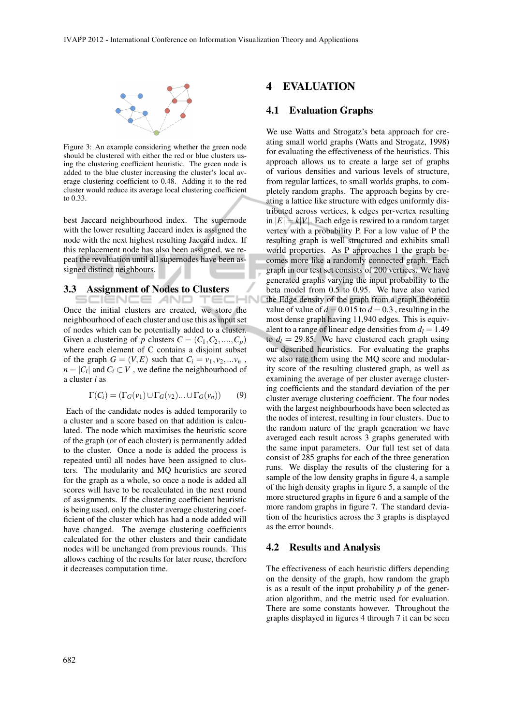

Figure 3: An example considering whether the green node should be clustered with either the red or blue clusters using the clustering coefficient heuristic. The green node is added to the blue cluster increasing the cluster's local average clustering coefficient to 0.48. Adding it to the red cluster would reduce its average local clustering coefficient to 0.33.

best Jaccard neighbourhood index. The supernode with the lower resulting Jaccard index is assigned the node with the next highest resulting Jaccard index. If this replacement node has also been assigned, we repeat the revaluation until all supernodes have been assigned distinct neighbours.

#### 3.3 Assignment of Nodes to Clusters

NCE AND Once the initial clusters are created, we store the neighbourhood of each cluster and use this as input set of nodes which can be potentially added to a cluster. Given a clustering of *p* clusters  $C = (C_1, C_2, \ldots, C_p)$ where each element of C contains a disjoint subset of the graph  $G = (V, E)$  such that  $C_i = v_1, v_2, \ldots, v_n$ ,  $n = |C_i|$  and  $C_i \subset V$ , we define the neighbourhood of a cluster *i* as

$$
\Gamma(C_i) = (\Gamma_G(v_1) \cup \Gamma_G(v_2) \dots \cup \Gamma_G(v_n)) \tag{9}
$$

Each of the candidate nodes is added temporarily to a cluster and a score based on that addition is calculated. The node which maximises the heuristic score of the graph (or of each cluster) is permanently added to the cluster. Once a node is added the process is repeated until all nodes have been assigned to clusters. The modularity and MQ heuristics are scored for the graph as a whole, so once a node is added all scores will have to be recalculated in the next round of assignments. If the clustering coefficient heuristic is being used, only the cluster average clustering coefficient of the cluster which has had a node added will have changed. The average clustering coefficients calculated for the other clusters and their candidate nodes will be unchanged from previous rounds. This allows caching of the results for later reuse, therefore it decreases computation time.

## **EVALUATION**

## 4.1 Evaluation Graphs

We use Watts and Strogatz's beta approach for creating small world graphs (Watts and Strogatz, 1998) for evaluating the effectiveness of the heuristics. This approach allows us to create a large set of graphs of various densities and various levels of structure, from regular lattices, to small worlds graphs, to completely random graphs. The approach begins by creating a lattice like structure with edges uniformly distributed across vertices, k edges per-vertex resulting in  $|E| = k|V|$ . Each edge is rewired to a random target vertex with a probability P. For a low value of P the resulting graph is well structured and exhibits small world properties. As P approaches 1 the graph becomes more like a randomly connected graph. Each graph in our test set consists of 200 vertices. We have generated graphs varying the input probability to the beta model from 0.5 to 0.95. We have also varied the Edge density of the graph from a graph theoretic value of value of  $d = 0.015$  to  $d = 0.3$ , resulting in the most dense graph having 11,940 edges. This is equivalent to a range of linear edge densities from  $d_l = 1.49$ to  $d_l = 29.85$ . We have clustered each graph using our described heuristics. For evaluating the graphs we also rate them using the MQ score and modularity score of the resulting clustered graph, as well as examining the average of per cluster average clustering coefficients and the standard deviation of the per cluster average clustering coefficient. The four nodes with the largest neighbourhoods have been selected as the nodes of interest, resulting in four clusters. Due to the random nature of the graph generation we have averaged each result across 3 graphs generated with the same input parameters. Our full test set of data consist of 285 graphs for each of the three generation runs. We display the results of the clustering for a sample of the low density graphs in figure 4, a sample of the high density graphs in figure 5, a sample of the more structured graphs in figure 6 and a sample of the more random graphs in figure 7. The standard deviation of the heuristics across the 3 graphs is displayed as the error bounds.

## 4.2 Results and Analysis

The effectiveness of each heuristic differs depending on the density of the graph, how random the graph is as a result of the input probability *p* of the generation algorithm, and the metric used for evaluation. There are some constants however. Throughout the graphs displayed in figures 4 through 7 it can be seen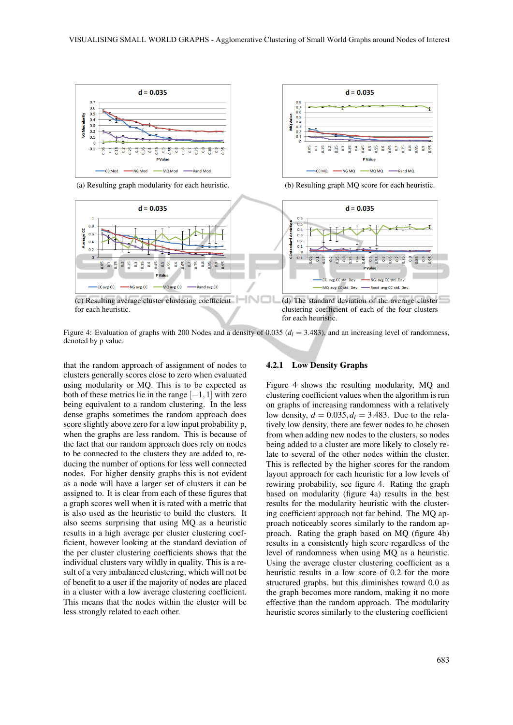$0.8$ 

 $0.7$ <br> $0.6$ 

 $\frac{8}{0.5}$ 

öΞ  $\overline{0.1}$ 

> 90, **ED**  $\overline{5}$

> > CC MQ

**MQValue**  $0.5$ <br>0.4



(a) Resulting graph modularity for each heuristic. (b) Resulting graph MQ score for each heuristic.



Figure 4: Evaluation of graphs with 200 Nodes and a density of 0.035 ( $d_l = 3.483$ ), and an increasing level of randomness, denoted by p value.

that the random approach of assignment of nodes to clusters generally scores close to zero when evaluated using modularity or MQ. This is to be expected as both of these metrics lie in the range  $[-1,1]$  with zero being equivalent to a random clustering. In the less dense graphs sometimes the random approach does score slightly above zero for a low input probability p, when the graphs are less random. This is because of the fact that our random approach does rely on nodes to be connected to the clusters they are added to, reducing the number of options for less well connected nodes. For higher density graphs this is not evident as a node will have a larger set of clusters it can be assigned to. It is clear from each of these figures that a graph scores well when it is rated with a metric that is also used as the heuristic to build the clusters. It also seems surprising that using MQ as a heuristic results in a high average per cluster clustering coefficient, however looking at the standard deviation of the per cluster clustering coefficients shows that the individual clusters vary wildly in quality. This is a result of a very imbalanced clustering, which will not be of benefit to a user if the majority of nodes are placed in a cluster with a low average clustering coefficient. This means that the nodes within the cluster will be less strongly related to each other.

#### 4.2.1 Low Density Graphs

Figure 4 shows the resulting modularity, MQ and clustering coefficient values when the algorithm is run on graphs of increasing randomness with a relatively low density,  $d = 0.035, d_l = 3.483$ . Due to the relatively low density, there are fewer nodes to be chosen from when adding new nodes to the clusters, so nodes being added to a cluster are more likely to closely relate to several of the other nodes within the cluster. This is reflected by the higher scores for the random layout approach for each heuristic for a low levels of rewiring probability, see figure 4. Rating the graph based on modularity (figure 4a) results in the best results for the modularity heuristic with the clustering coefficient approach not far behind. The MQ approach noticeably scores similarly to the random approach. Rating the graph based on MQ (figure 4b) results in a consistently high score regardless of the level of randomness when using MQ as a heuristic. Using the average cluster clustering coefficient as a heuristic results in a low score of 0.2 for the more structured graphs, but this diminishes toward 0.0 as the graph becomes more random, making it no more effective than the random approach. The modularity heuristic scores similarly to the clustering coefficient

 $d = 0.035$ 

3 3 3 3 4 5 5 6 5 6 5 6 6 6 6

MQ MQ

**P** Valu

NG MQ

 $\frac{9}{2}$ 59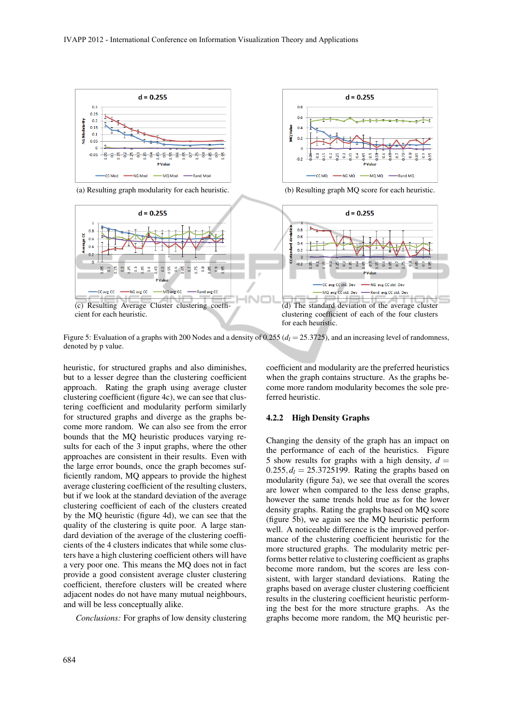

(a) Resulting graph modularity for each heuristic. (b) Resulting graph MQ score for each heuristic.



Figure 5: Evaluation of a graphs with 200 Nodes and a density of 0.255 (*d<sup>l</sup>* = 25.3725), and an increasing level of randomness, denoted by p value.

heuristic, for structured graphs and also diminishes, but to a lesser degree than the clustering coefficient approach. Rating the graph using average cluster clustering coefficient (figure 4c), we can see that clustering coefficient and modularity perform similarly for structured graphs and diverge as the graphs become more random. We can also see from the error bounds that the MQ heuristic produces varying results for each of the 3 input graphs, where the other approaches are consistent in their results. Even with the large error bounds, once the graph becomes sufficiently random, MQ appears to provide the highest average clustering coefficient of the resulting clusters, but if we look at the standard deviation of the average clustering coefficient of each of the clusters created by the MQ heuristic (figure 4d), we can see that the quality of the clustering is quite poor. A large standard deviation of the average of the clustering coefficients of the 4 clusters indicates that while some clusters have a high clustering coefficient others will have a very poor one. This means the MQ does not in fact provide a good consistent average cluster clustering coefficient, therefore clusters will be created where adjacent nodes do not have many mutual neighbours, and will be less conceptually alike.

*Conclusions:* For graphs of low density clustering

coefficient and modularity are the preferred heuristics when the graph contains structure. As the graphs become more random modularity becomes the sole preferred heuristic.

 $d = 0.255$ 

NG MO

MQ MQ

Dand MO

 $0.8$ 

 $0<sub>6</sub>$ 

 $0.2$ 

 $\Delta$ 

**CCMO** 

viQValue  $\overline{0}$ 

#### 4.2.2 High Density Graphs

Changing the density of the graph has an impact on the performance of each of the heuristics. Figure 5 show results for graphs with a high density,  $d =$  $0.255, d_l = 25.3725199$ . Rating the graphs based on modularity (figure 5a), we see that overall the scores are lower when compared to the less dense graphs, however the same trends hold true as for the lower density graphs. Rating the graphs based on MQ score (figure 5b), we again see the MQ heuristic perform well. A noticeable difference is the improved performance of the clustering coefficient heuristic for the more structured graphs. The modularity metric performs better relative to clustering coefficient as graphs become more random, but the scores are less consistent, with larger standard deviations. Rating the graphs based on average cluster clustering coefficient results in the clustering coefficient heuristic performing the best for the more structure graphs. As the graphs become more random, the MQ heuristic per-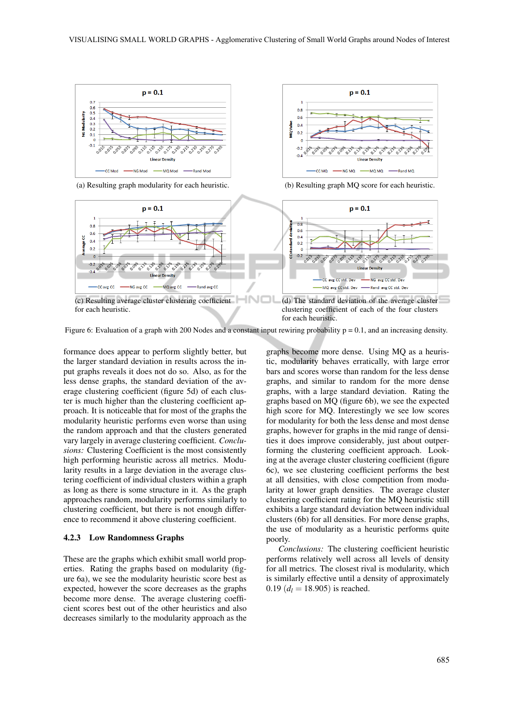$\overline{1}$ 

 $0.8$ 

 $0<sub>6</sub>$ 

 $-0.2$ 

an Value  $0.4$ 



(a) Resulting graph modularity for each heuristic. (b) Resulting graph MQ score for each heuristic.



Figure 6: Evaluation of a graph with 200 Nodes and a constant input rewiring probability  $p = 0.1$ , and an increasing density.

formance does appear to perform slightly better, but the larger standard deviation in results across the input graphs reveals it does not do so. Also, as for the less dense graphs, the standard deviation of the average clustering coefficient (figure 5d) of each cluster is much higher than the clustering coefficient approach. It is noticeable that for most of the graphs the modularity heuristic performs even worse than using the random approach and that the clusters generated vary largely in average clustering coefficient. *Conclusions:* Clustering Coefficient is the most consistently high performing heuristic across all metrics. Modularity results in a large deviation in the average clustering coefficient of individual clusters within a graph as long as there is some structure in it. As the graph approaches random, modularity performs similarly to clustering coefficient, but there is not enough difference to recommend it above clustering coefficient.

#### 4.2.3 Low Randomness Graphs

These are the graphs which exhibit small world properties. Rating the graphs based on modularity (figure 6a), we see the modularity heuristic score best as expected, however the score decreases as the graphs become more dense. The average clustering coefficient scores best out of the other heuristics and also decreases similarly to the modularity approach as the

graphs become more dense. Using MQ as a heuristic, modularity behaves erratically, with large error bars and scores worse than random for the less dense graphs, and similar to random for the more dense graphs, with a large standard deviation. Rating the graphs based on MQ (figure 6b), we see the expected high score for MQ. Interestingly we see low scores for modularity for both the less dense and most dense graphs, however for graphs in the mid range of densities it does improve considerably, just about outperforming the clustering coefficient approach. Looking at the average cluster clustering coefficient (figure 6c), we see clustering coefficient performs the best at all densities, with close competition from modularity at lower graph densities. The average cluster clustering coefficient rating for the MQ heuristic still exhibits a large standard deviation between individual clusters (6b) for all densities. For more dense graphs, the use of modularity as a heuristic performs quite poorly.

 $p = 0.1$ 

**0.155** 0.375

 $-$  NG MQ  $-$ 

**Linear Density** 

MQ MQ

*Conclusions:* The clustering coefficient heuristic performs relatively well across all levels of density for all metrics. The closest rival is modularity, which is similarly effective until a density of approximately 0.19  $(d_l = 18.905)$  is reached.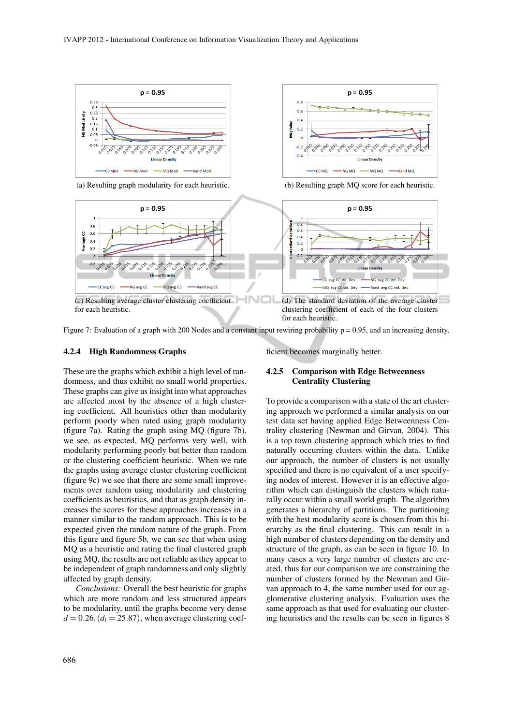

(a) Resulting graph modularity for each heuristic. (b) Resulting graph MQ score for each heuristic.



Figure 7: Evaluation of a graph with 200 Nodes and a constant input rewiring probability  $p = 0.95$ , and an increasing density.

#### 4.2.4 High Randomness Graphs

These are the graphs which exhibit a high level of randomness, and thus exhibit no small world properties. These graphs can give us insight into what approaches are affected most by the absence of a high clustering coefficient. All heuristics other than modularity perform poorly when rated using graph modularity (figure 7a). Rating the graph using MQ (figure 7b), we see, as expected, MQ performs very well, with modularity performing poorly but better than random or the clustering coefficient heuristic. When we rate the graphs using average cluster clustering coefficient (figure 9c) we see that there are some small improvements over random using modularity and clustering coefficients as heuristics, and that as graph density increases the scores for these approaches increases in a manner similar to the random approach. This is to be expected given the random nature of the graph. From this figure and figure 5b, we can see that when using MQ as a heuristic and rating the final clustered graph using MQ, the results are not reliable as they appear to be independent of graph randomness and only slightly affected by graph density.

*Conclusions:* Overall the best heuristic for graphs which are more random and less structured appears to be modularity, until the graphs become very dense  $d = 0.26$ ,  $(d<sub>l</sub> = 25.87)$ , when average clustering coefficient becomes marginally better.

### 4.2.5 Comparison with Edge Betweenness Centrality Clustering

To provide a comparison with a state of the art clustering approach we performed a similar analysis on our test data set having applied Edge Betweenness Centrality clustering (Newman and Girvan, 2004). This is a top town clustering approach which tries to find naturally occurring clusters within the data. Unlike our approach, the number of clusters is not usually specified and there is no equivalent of a user specifying nodes of interest. However it is an effective algorithm which can distinguish the clusters which naturally occur within a small world graph. The algorithm generates a hierarchy of partitions. The partitioning with the best modularity score is chosen from this hierarchy as the final clustering. This can result in a high number of clusters depending on the density and structure of the graph, as can be seen in figure 10. In many cases a very large number of clusters are created, thus for our comparison we are constraining the number of clusters formed by the Newman and Girvan approach to 4, the same number used for our agglomerative clustering analysis. Evaluation uses the same approach as that used for evaluating our clustering heuristics and the results can be seen in figures 8

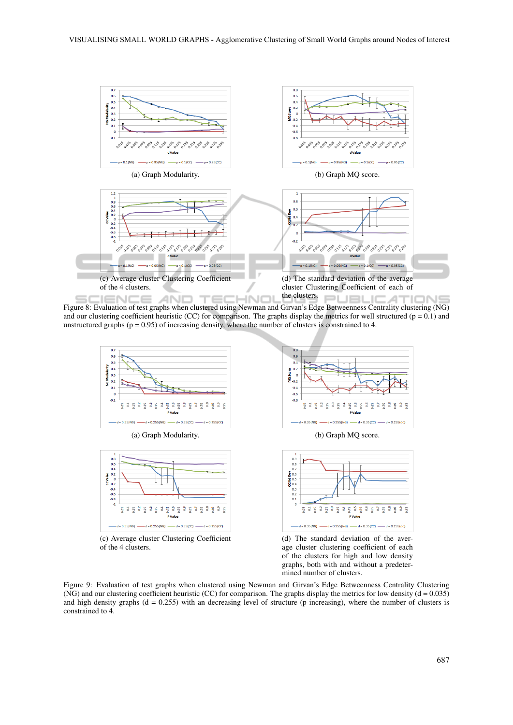

Figure 8: Evaluation of test graphs when clustered using Newman and Girvan's Edge Betweenness Centrality clustering (NG) and our clustering coefficient heuristic (CC) for comparison. The graphs display the metrics for well structured ( $p = 0.1$ ) and unstructured graphs ( $p = 0.95$ ) of increasing density, where the number of clusters is constrained to 4.



(c) Average cluster Clustering Coefficient of the 4 clusters.



Figure 9: Evaluation of test graphs when clustered using Newman and Girvan's Edge Betweenness Centrality Clustering (NG) and our clustering coefficient heuristic (CC) for comparison. The graphs display the metrics for low density ( $d = 0.035$ ) and high density graphs ( $d = 0.255$ ) with an decreasing level of structure (p increasing), where the number of clusters is constrained to 4.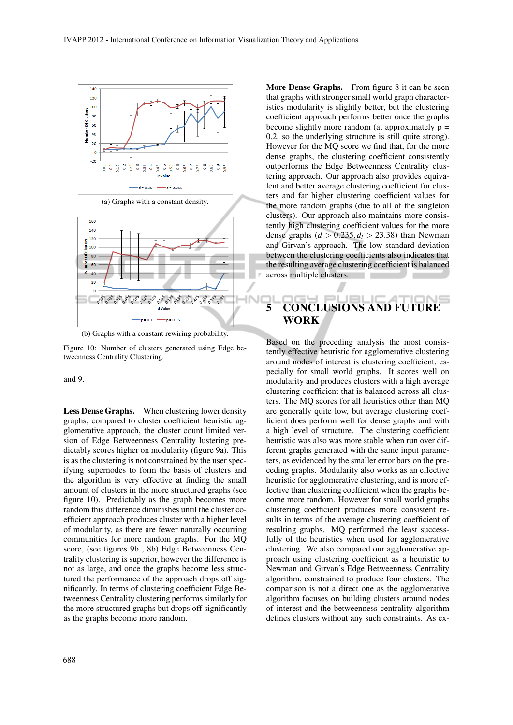

(a) Graphs with a constant density.



(b) Graphs with a constant rewiring probability.

Figure 10: Number of clusters generated using Edge betweenness Centrality Clustering.

and 9.

Less Dense Graphs. When clustering lower density graphs, compared to cluster coefficient heuristic agglomerative approach, the cluster count limited version of Edge Betweenness Centrality lustering predictably scores higher on modularity (figure 9a). This is as the clustering is not constrained by the user specifying supernodes to form the basis of clusters and the algorithm is very effective at finding the small amount of clusters in the more structured graphs (see figure 10). Predictably as the graph becomes more random this difference diminishes until the cluster coefficient approach produces cluster with a higher level of modularity, as there are fewer naturally occurring communities for more random graphs. For the MQ score, (see figures 9b , 8b) Edge Betweenness Centrality clustering is superior, however the difference is not as large, and once the graphs become less structured the performance of the approach drops off significantly. In terms of clustering coefficient Edge Betweenness Centrality clustering performs similarly for the more structured graphs but drops off significantly as the graphs become more random.

More Dense Graphs. From figure 8 it can be seen that graphs with stronger small world graph characteristics modularity is slightly better, but the clustering coefficient approach performs better once the graphs become slightly more random (at approximately  $p =$ 0.2, so the underlying structure is still quite strong). However for the MQ score we find that, for the more dense graphs, the clustering coefficient consistently outperforms the Edge Betweenness Centrality clustering approach. Our approach also provides equivalent and better average clustering coefficient for clusters and far higher clustering coefficient values for the more random graphs (due to all of the singleton clusters). Our approach also maintains more consistently high clustering coefficient values for the more dense graphs  $(d > 0.235, d_l > 23.38)$  than Newman and Girvan's approach. The low standard deviation between the clustering coefficients also indicates that the resulting average clustering coefficient is balanced across multiple clusters.

# 5 CONCLUSIONS AND FUTURE WORK

Based on the preceding analysis the most consistently effective heuristic for agglomerative clustering around nodes of interest is clustering coefficient, especially for small world graphs. It scores well on modularity and produces clusters with a high average clustering coefficient that is balanced across all clusters. The MQ scores for all heuristics other than MQ are generally quite low, but average clustering coefficient does perform well for dense graphs and with a high level of structure. The clustering coefficient heuristic was also was more stable when run over different graphs generated with the same input parameters, as evidenced by the smaller error bars on the preceding graphs. Modularity also works as an effective heuristic for agglomerative clustering, and is more effective than clustering coefficient when the graphs become more random. However for small world graphs clustering coefficient produces more consistent results in terms of the average clustering coefficient of resulting graphs. MQ performed the least successfully of the heuristics when used for agglomerative clustering. We also compared our agglomerative approach using clustering coefficient as a heuristic to Newman and Girvan's Edge Betweenness Centrality algorithm, constrained to produce four clusters. The comparison is not a direct one as the agglomerative algorithm focuses on building clusters around nodes of interest and the betweenness centrality algorithm defines clusters without any such constraints. As ex